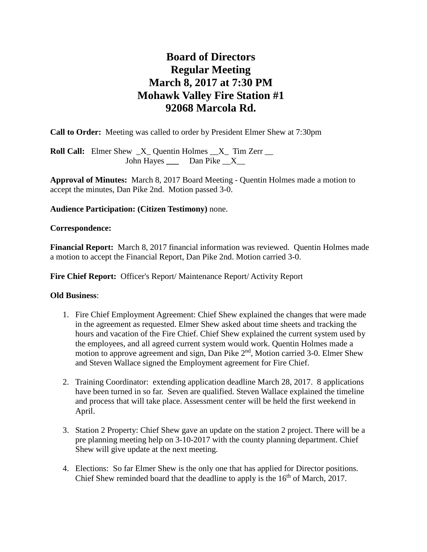# **Board of Directors Regular Meeting March 8, 2017 at 7:30 PM Mohawk Valley Fire Station #1 92068 Marcola Rd.**

**Call to Order:** Meeting was called to order by President Elmer Shew at 7:30pm

**Roll Call:** Elmer Shew  $X$  Quentin Holmes  $X$  Tim Zerr \_\_ John Hayes \_\_\_\_ Dan Pike \_\_X\_\_

**Approval of Minutes:** March 8, 2017 Board Meeting - Quentin Holmes made a motion to accept the minutes, Dan Pike 2nd. Motion passed 3-0.

#### **Audience Participation: (Citizen Testimony)** none.

#### **Correspondence:**

**Financial Report:** March 8, 2017 financial information was reviewed. Quentin Holmes made a motion to accept the Financial Report, Dan Pike 2nd. Motion carried 3-0.

Fire Chief Report: Officer's Report/ Maintenance Report/ Activity Report

#### **Old Business**:

- 1. Fire Chief Employment Agreement: Chief Shew explained the changes that were made in the agreement as requested. Elmer Shew asked about time sheets and tracking the hours and vacation of the Fire Chief. Chief Shew explained the current system used by the employees, and all agreed current system would work. Quentin Holmes made a motion to approve agreement and sign, Dan Pike 2<sup>nd</sup>, Motion carried 3-0. Elmer Shew and Steven Wallace signed the Employment agreement for Fire Chief.
- 2. Training Coordinator: extending application deadline March 28, 2017. 8 applications have been turned in so far. Seven are qualified. Steven Wallace explained the timeline and process that will take place. Assessment center will be held the first weekend in April.
- 3. Station 2 Property: Chief Shew gave an update on the station 2 project. There will be a pre planning meeting help on 3-10-2017 with the county planning department. Chief Shew will give update at the next meeting.
- 4. Elections: So far Elmer Shew is the only one that has applied for Director positions. Chief Shew reminded board that the deadline to apply is the  $16<sup>th</sup>$  of March, 2017.